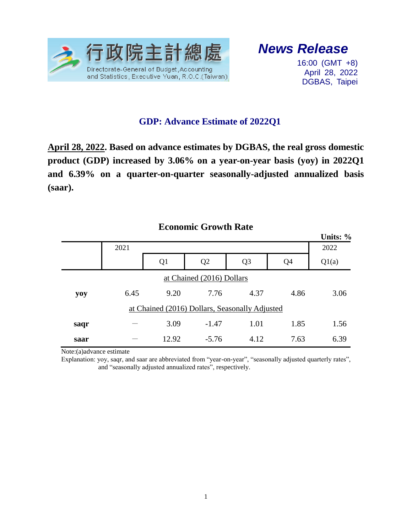

## *News Release*

16:00 (GMT +8) April 28, 2022 DGBAS, Taipei

## **GDP: Advance Estimate of 2022Q1**

**April 28, 2022. Based on advance estimates by DGBAS, the real gross domestic product (GDP) increased by 3.06% on a year-on-year basis (yoy) in 2022Q1 and 6.39% on a quarter-on-quarter seasonally-adjusted annualized basis (saar).**

|                                                |      |                |                |                |                | Units: % |  |  |  |  |  |
|------------------------------------------------|------|----------------|----------------|----------------|----------------|----------|--|--|--|--|--|
|                                                | 2021 |                | 2022           |                |                |          |  |  |  |  |  |
|                                                |      | Q <sub>1</sub> | Q <sub>2</sub> | Q <sub>3</sub> | Q <sub>4</sub> | Q1(a)    |  |  |  |  |  |
| at Chained (2016) Dollars                      |      |                |                |                |                |          |  |  |  |  |  |
| yoy                                            | 6.45 | 9.20           | 7.76           | 4.37           | 4.86           | 3.06     |  |  |  |  |  |
| at Chained (2016) Dollars, Seasonally Adjusted |      |                |                |                |                |          |  |  |  |  |  |
| saqr                                           |      | 3.09           | $-1.47$        | 1.01           | 1.85           | 1.56     |  |  |  |  |  |
| saar                                           |      | 12.92          | $-5.76$        | 4.12           | 7.63           | 6.39     |  |  |  |  |  |

## **Economic Growth Rate**

Note:(a)advance estimate

Explanation: yoy, saqr, and saar are abbreviated from "year-on-year", "seasonally adjusted quarterly rates", and "seasonally adjusted annualized rates", respectively.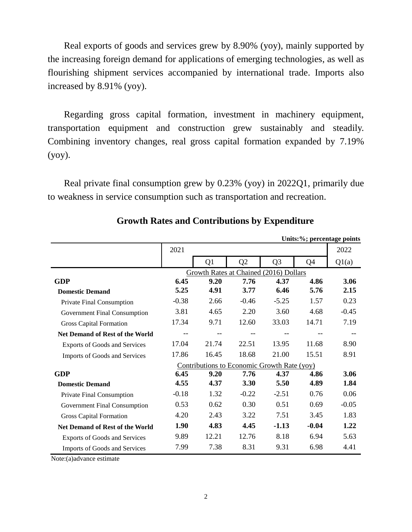Real exports of goods and services grew by 8.90% (yoy), mainly supported by the increasing foreign demand for applications of emerging technologies, as well as flourishing shipment services accompanied by international trade. Imports also increased by 8.91% (yoy).

Regarding gross capital formation, investment in machinery equipment, transportation equipment and construction grew sustainably and steadily. Combining inventory changes, real gross capital formation expanded by 7.19% (yoy).

Real private final consumption grew by 0.23% (yoy) in 2022Q1, primarily due to weakness in service consumption such as transportation and recreation.

|                                        |                                             |                |                |                | Units:%; percentage points |         |  |  |  |
|----------------------------------------|---------------------------------------------|----------------|----------------|----------------|----------------------------|---------|--|--|--|
|                                        | 2021                                        |                |                |                |                            | 2022    |  |  |  |
|                                        |                                             | Q <sub>1</sub> | Q <sub>2</sub> | Q <sub>3</sub> | Q4                         | Q1(a)   |  |  |  |
|                                        | Growth Rates at Chained (2016) Dollars      |                |                |                |                            |         |  |  |  |
| <b>GDP</b>                             | 6.45                                        | 9.20           | 7.76           | 4.37           | 4.86                       | 3.06    |  |  |  |
| <b>Domestic Demand</b>                 | 5.25                                        | 4.91           | 3.77           | 6.46           | 5.76                       | 2.15    |  |  |  |
| Private Final Consumption              | $-0.38$                                     | 2.66           | $-0.46$        | $-5.25$        | 1.57                       | 0.23    |  |  |  |
| <b>Government Final Consumption</b>    | 3.81                                        | 4.65           | 2.20           | 3.60           | 4.68                       | $-0.45$ |  |  |  |
| <b>Gross Capital Formation</b>         | 17.34                                       | 9.71           | 12.60          | 33.03          | 14.71                      | 7.19    |  |  |  |
| <b>Net Demand of Rest of the World</b> | --                                          |                |                |                |                            |         |  |  |  |
| <b>Exports of Goods and Services</b>   | 17.04                                       | 21.74          | 22.51          | 13.95          | 11.68                      | 8.90    |  |  |  |
| Imports of Goods and Services          | 17.86                                       | 16.45          | 18.68          | 21.00          | 15.51                      | 8.91    |  |  |  |
|                                        | Contributions to Economic Growth Rate (yoy) |                |                |                |                            |         |  |  |  |
| <b>GDP</b>                             | 6.45                                        | 9.20           | 7.76           | 4.37           | 4.86                       | 3.06    |  |  |  |
| <b>Domestic Demand</b>                 | 4.55                                        | 4.37           | 3.30           | 5.50           | 4.89                       | 1.84    |  |  |  |
| Private Final Consumption              | $-0.18$                                     | 1.32           | $-0.22$        | $-2.51$        | 0.76                       | 0.06    |  |  |  |
| <b>Government Final Consumption</b>    | 0.53                                        | 0.62           | 0.30           | 0.51           | 0.69                       | $-0.05$ |  |  |  |
| <b>Gross Capital Formation</b>         | 4.20                                        | 2.43           | 3.22           | 7.51           | 3.45                       | 1.83    |  |  |  |
| Net Demand of Rest of the World        | 1.90                                        | 4.83           | 4.45           | $-1.13$        | $-0.04$                    | 1.22    |  |  |  |
| <b>Exports of Goods and Services</b>   | 9.89                                        | 12.21          | 12.76          | 8.18           | 6.94                       | 5.63    |  |  |  |
| Imports of Goods and Services          | 7.99                                        | 7.38           | 8.31           | 9.31           | 6.98                       | 4.41    |  |  |  |

**Growth Rates and Contributions by Expenditure**

Note:(a)advance estimate